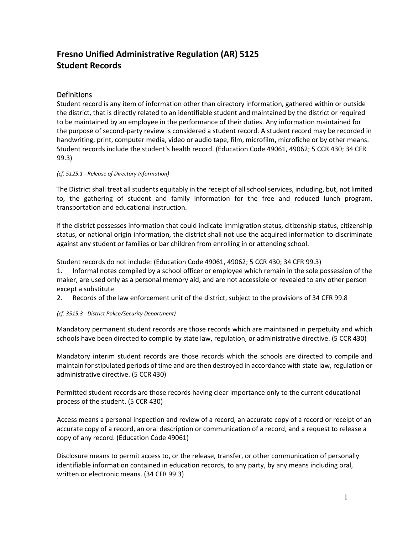# **Fresno Unified Administrative Regulation (AR) 5125 Student Records**

# **Definitions**

Student record is any item of information other than directory information, gathered within or outside the district, that is directly related to an identifiable student and maintained by the district or required to be maintained by an employee in the performance of their duties. Any information maintained for the purpose of second-party review is considered a student record. A student record may be recorded in handwriting, print, computer media, video or audio tape, film, microfilm, microfiche or by other means. Student records include the student's health record. (Education Code 49061, 49062; 5 CCR 430; 34 CFR 99.3)

### *(cf. 5125.1 - Release of Directory Information)*

The District shall treat all students equitably in the receipt of all school services, including, but, not limited to, the gathering of student and family information for the free and reduced lunch program, transportation and educational instruction.

If the district possesses information that could indicate immigration status, citizenship status, citizenship status, or national origin information, the district shall not use the acquired information to discriminate against any student or families or bar children from enrolling in or attending school.

Student records do not include: (Education Code 49061, 49062; 5 CCR 430; 34 CFR 99.3)

1. Informal notes compiled by a school officer or employee which remain in the sole possession of the maker, are used only as a personal memory aid, and are not accessible or revealed to any other person except a substitute

2. Records of the law enforcement unit of the district, subject to the provisions of 34 CFR 99.8

# *(cf. 3515.3 - District Police/Security Department)*

Mandatory permanent student records are those records which are maintained in perpetuity and which schools have been directed to compile by state law, regulation, or administrative directive. (5 CCR 430)

Mandatory interim student records are those records which the schools are directed to compile and maintain forstipulated periods of time and are then destroyed in accordance with state law, regulation or administrative directive. (5 CCR 430)

Permitted student records are those records having clear importance only to the current educational process of the student. (5 CCR 430)

Access means a personal inspection and review of a record, an accurate copy of a record or receipt of an accurate copy of a record, an oral description or communication of a record, and a request to release a copy of any record. (Education Code 49061)

Disclosure means to permit access to, or the release, transfer, or other communication of personally identifiable information contained in education records, to any party, by any means including oral, written or electronic means. (34 CFR 99.3)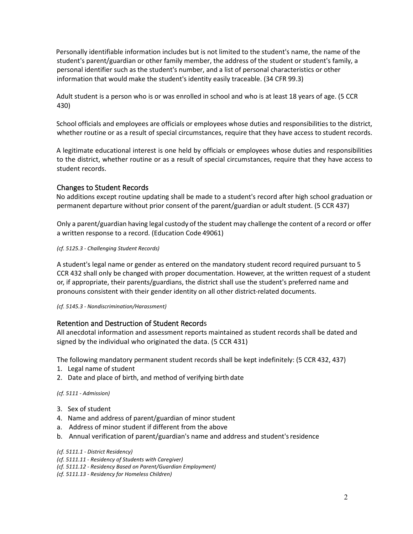Personally identifiable information includes but is not limited to the student's name, the name of the student's parent/guardian or other family member, the address of the student or student's family, a personal identifier such as the student's number, and a list of personal characteristics or other information that would make the student's identity easily traceable. (34 CFR 99.3)

Adult student is a person who is or was enrolled in school and who is at least 18 years of age. (5 CCR 430)

School officials and employees are officials or employees whose duties and responsibilities to the district, whether routine or as a result of special circumstances, require that they have access to student records.

A legitimate educational interest is one held by officials or employees whose duties and responsibilities to the district, whether routine or as a result of special circumstances, require that they have access to student records.

# Changes to Student Records

No additions except routine updating shall be made to a student's record after high school graduation or permanent departure without prior consent of the parent/guardian or adult student. (5 CCR 437)

Only a parent/guardian having legal custody of the student may challenge the content of a record or offer a written response to a record. (Education Code 49061)

#### *(cf. 5125.3 - Challenging Student Records)*

A student's legal name or gender as entered on the mandatory student record required pursuant to 5 CCR 432 shall only be changed with proper documentation. However, at the written request of a student or, if appropriate, their parents/guardians, the district shall use the student's preferred name and pronouns consistent with their gender identity on all other district-related documents.

*(cf. 5145.3 - Nondiscrimination/Harassment)*

# Retention and Destruction of Student Records

All anecdotal information and assessment reports maintained as student records shall be dated and signed by the individual who originated the data. (5 CCR 431)

The following mandatory permanent student records shall be kept indefinitely: (5 CCR 432, 437)

- 1. Legal name of student
- 2. Date and place of birth, and method of verifying birth date

*(cf. 5111 - Admission)*

- 3. Sex of student
- 4. Name and address of parent/guardian of minor student
- a. Address of minor student if different from the above
- b. Annual verification of parent/guardian's name and address and student'sresidence

- *(cf. 5111.11 - Residency of Students with Caregiver)*
- *(cf. 5111.12 - Residency Based on Parent/Guardian Employment)*
- *(cf. 5111.13 - Residency for Homeless Children)*

*<sup>(</sup>cf. 5111.1 - District Residency)*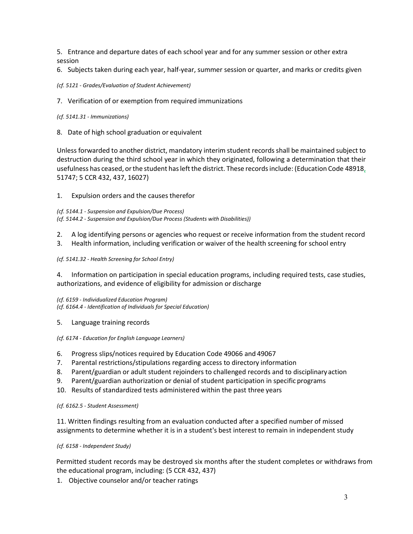5. Entrance and departure dates of each school year and for any summer session or other extra session

6. Subjects taken during each year, half-year, summer session or quarter, and marks or credits given

### *(cf. 5121 - Grades/Evaluation of Student Achievement)*

7. Verification of or exemption from required immunizations

#### *(cf. 5141.31 - Immunizations)*

8. Date of high school graduation or equivalent

Unless forwarded to another district, mandatory interim student records shall be maintained subject to destruction during the third school year in which they originated, following a determination that their usefulness has ceased, orthe student hasleftthe district. These recordsinclude: (Education Code 48918, 51747; 5 CCR 432, 437, 16027)

### 1. Expulsion orders and the causes therefor

*(cf. 5144.1 - Suspension and Expulsion/Due Process) (cf. 5144.2 - Suspension and Expulsion/Due Process (Students with Disabilities))*

- 2. A log identifying persons or agencies who request or receive information from the student record
- 3. Health information, including verification or waiver of the health screening for school entry

*(cf. 5141.32* - *Health Screening for School Entry)*

4. Information on participation in special education programs, including required tests, case studies, authorizations, and evidence of eligibility for admission or discharge

*(cf. 6159 - Individualized Education Program) (cf. 6164.4 - Identification of Individuals for Special Education)*

# 5. Language training records

*(cf. 6174 - Education for English Language Learners)*

- 6. Progress slips/notices required by Education Code 49066 and 49067
- 7. Parental restrictions/stipulations regarding access to directory information
- 8. Parent/guardian or adult student rejoinders to challenged records and to disciplinaryaction
- 9. Parent/guardian authorization or denial of student participation in specific programs
- 10. Results of standardized tests administered within the past three years

#### *(cf. 6162.5 - Student Assessment)*

11. Written findings resulting from an evaluation conducted after a specified number of missed assignments to determine whether it is in a student's best interest to remain in independent study

# *(cf. 6158 - Independent Study)*

Permitted student records may be destroyed six months after the student completes or withdraws from the educational program, including: (5 CCR 432, 437)

1. Objective counselor and/or teacher ratings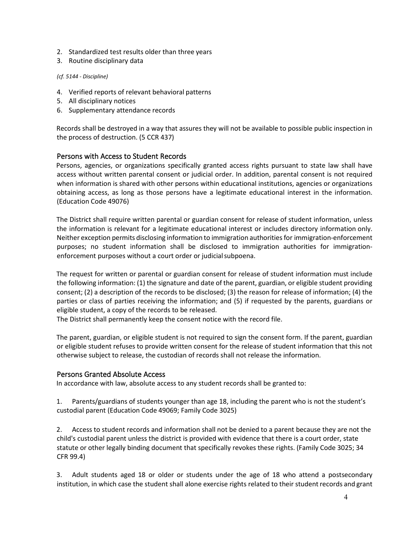- 2. Standardized test results older than three years
- 3. Routine disciplinary data

### *(cf. 5144 - Discipline)*

- 4. Verified reports of relevant behavioral patterns
- 5. All disciplinary notices
- 6. Supplementary attendance records

Records shall be destroyed in a way that assures they will not be available to possible public inspection in the process of destruction. (5 CCR 437)

# Persons with Access to Student Records

Persons, agencies, or organizations specifically granted access rights pursuant to state law shall have access without written parental consent or judicial order. In addition, parental consent is not required when information is shared with other persons within educational institutions, agencies or organizations obtaining access, as long as those persons have a legitimate educational interest in the information. (Education Code 49076)

The District shall require written parental or guardian consent for release of student information, unless the information is relevant for a legitimate educational interest or includes directory information only. Neither exception permits disclosing information to immigration authoritiesfor immigration-enforcement purposes; no student information shall be disclosed to immigration authorities for immigrationenforcement purposes without a court order or judicialsubpoena.

The request for written or parental or guardian consent for release of student information must include the following information: (1) the signature and date of the parent, guardian, or eligible student providing consent; (2) a description of the records to be disclosed; (3) the reason for release of information; (4) the parties or class of parties receiving the information; and (5) if requested by the parents, guardians or eligible student, a copy of the records to be released.

The District shall permanently keep the consent notice with the record file.

The parent, guardian, or eligible student is not required to sign the consent form. If the parent, guardian or eligible student refuses to provide written consent for the release of student information that this not otherwise subject to release, the custodian of records shall not release the information.

# Persons Granted Absolute Access

In accordance with law, absolute access to any student records shall be granted to:

1. Parents/guardians of students younger than age 18, including the parent who is not the student's custodial parent (Education Code 49069; Family Code 3025)

2. Access to student records and information shall not be denied to a parent because they are not the child's custodial parent unless the district is provided with evidence that there is a court order, state statute or other legally binding document that specifically revokes these rights. (Family Code 3025; 34 CFR 99.4)

3. Adult students aged 18 or older or students under the age of 18 who attend a postsecondary institution, in which case the student shall alone exercise rights related to their student records and grant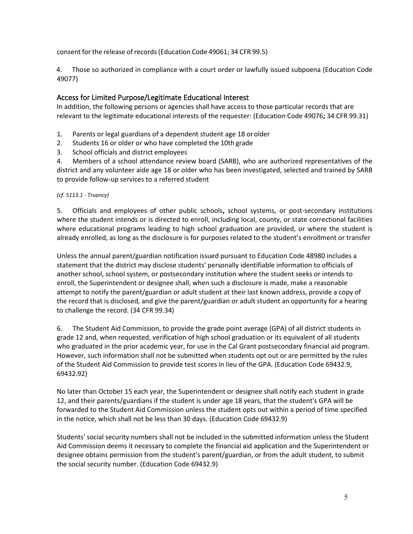consent for the release of records (Education Code 49061; 34 CFR 99.5)

4. Those so authorized in compliance with a court order or lawfully issued subpoena (Education Code 49077)

# Access for Limited Purpose/Legitimate Educational Interest

In addition, the following persons or agencies shall have access to those particular records that are relevant to the legitimate educational interests of the requester: (Education Code 49076**;** 34 CFR 99.31)

- 1. Parents or legal guardians of a dependent student age 18 orolder
- 2. Students 16 or older or who have completed the 10th grade
- 3. School officials and district employees

4. Members of a school attendance review board (SARB), who are authorized representatives of the district and any volunteer aide age 18 or older who has been investigated, selected and trained by SARB to provide follow-up services to a referred student

# *(cf. 5113.1 - Truancy)*

5. Officials and employees of other public schools**,** school systems, or post-secondary institutions where the student intends or is directed to enroll, including local, county, or state correctional facilities where educational programs leading to high school graduation are provided, or where the student is already enrolled, as long as the disclosure is for purposes related to the student's enrollment or transfer

Unless the annual parent/guardian notification issued pursuant to Education Code 48980 includes a statement that the district may disclose students' personally identifiable information to officials of another school, school system, or postsecondary institution where the student seeks or intends to enroll, the Superintendent or designee shall, when such a disclosure is made, make a reasonable attempt to notify the parent/guardian or adult student at their last known address, provide a copy of the record that is disclosed, and give the parent/guardian or adult student an opportunity for a hearing to challenge the record. (34 CFR 99.34)

6. The Student Aid Commission, to provide the grade point average (GPA) of all district students in grade 12 and, when requested, verification of high school graduation or its equivalent of all students who graduated in the prior academic year, for use in the Cal Grant postsecondary financial aid program. However, such information shall not be submitted when students opt out or are permitted by the rules of the Student Aid Commission to provide test scores in lieu of the GPA. (Education Code 69432.9, 69432.92)

No later than October 15 each year, the Superintendent or designee shall notify each student in grade 12, and their parents/guardians if the student is under age 18 years, that the student's GPA will be forwarded to the Student Aid Commission unless the student opts out within a period of time specified in the notice, which shall not be less than 30 days. (Education Code 69432.9)

Students' social security numbers shall not be included in the submitted information unless the Student Aid Commission deems it necessary to complete the financial aid application and the Superintendent or designee obtains permission from the student's parent/guardian, or from the adult student, to submit the social security number. (Education Code 69432.9)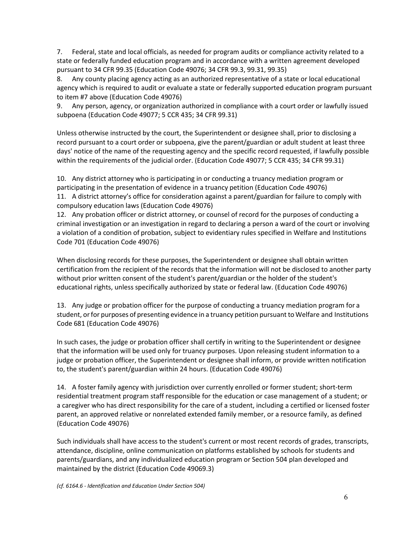7. Federal, state and local officials, as needed for program audits or compliance activity related to a state or federally funded education program and in accordance with a written agreement developed pursuant to 34 CFR 99.35 (Education Code 49076; 34 CFR 99.3, 99.31, 99.35)

8. Any county placing agency acting as an authorized representative of a state or local educational agency which is required to audit or evaluate a state or federally supported education program pursuant to item #7 above (Education Code 49076)

9. Any person, agency, or organization authorized in compliance with a court order or lawfully issued subpoena (Education Code 49077; 5 CCR 435; 34 CFR 99.31)

Unless otherwise instructed by the court, the Superintendent or designee shall, prior to disclosing a record pursuant to a court order or subpoena, give the parent/guardian or adult student at least three days' notice of the name of the requesting agency and the specific record requested, if lawfully possible within the requirements of the judicial order. (Education Code 49077; 5 CCR 435; 34 CFR 99.31)

10. Any district attorney who is participating in or conducting a truancy mediation program or participating in the presentation of evidence in a truancy petition (Education Code 49076) 11. A district attorney's office for consideration against a parent/guardian for failure to comply with

compulsory education laws (Education Code 49076)

12. Any probation officer or district attorney, or counsel of record for the purposes of conducting a criminal investigation or an investigation in regard to declaring a person a ward of the court or involving a violation of a condition of probation, subject to evidentiary rules specified in Welfare and Institutions Code 701 (Education Code 49076)

When disclosing records for these purposes, the Superintendent or designee shall obtain written certification from the recipient of the records that the information will not be disclosed to another party without prior written consent of the student's parent/guardian or the holder of the student's educational rights, unless specifically authorized by state or federal law. (Education Code 49076)

13. Any judge or probation officer for the purpose of conducting a truancy mediation program for a student, or for purposes of presenting evidence in a truancy petition pursuant to Welfare and Institutions Code 681 (Education Code 49076)

In such cases, the judge or probation officer shall certify in writing to the Superintendent or designee that the information will be used only for truancy purposes. Upon releasing student information to a judge or probation officer, the Superintendent or designee shall inform, or provide written notification to, the student's parent/guardian within 24 hours. (Education Code 49076)

14. A foster family agency with jurisdiction over currently enrolled or former student; short-term residential treatment program staff responsible for the education or case management of a student; or a caregiver who has direct responsibility for the care of a student, including a certified or licensed foster parent, an approved relative or nonrelated extended family member, or a resource family, as defined (Education Code 49076)

Such individuals shall have access to the student's current or most recent records of grades, transcripts, attendance, discipline, online communication on platforms established by schools for students and parents/guardians, and any individualized education program or Section 504 plan developed and maintained by the district (Education Code 49069.3)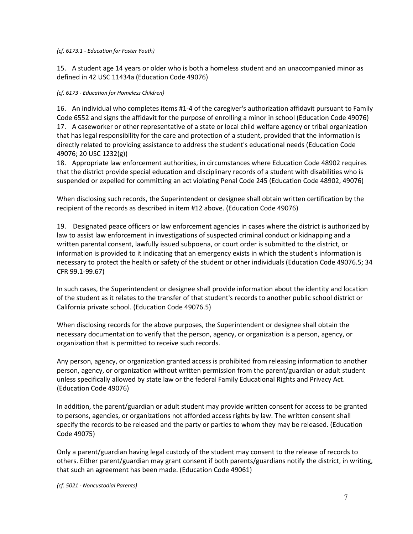#### *(cf. 6173.1 - Education for Foster Youth)*

15. A student age 14 years or older who is both a homeless student and an unaccompanied minor as defined in 42 USC 11434a (Education Code 49076)

#### *(cf. 6173 - Education for Homeless Children)*

16. An individual who completes items #1-4 of the caregiver's authorization affidavit pursuant to Family Code 6552 and signs the affidavit for the purpose of enrolling a minor in school (Education Code 49076) 17. A caseworker or other representative of a state or local child welfare agency or tribal organization that has legal responsibility for the care and protection of a student, provided that the information is directly related to providing assistance to address the student's educational needs (Education Code 49076; 20 USC 1232(g))

18. Appropriate law enforcement authorities, in circumstances where Education Code 48902 requires that the district provide special education and disciplinary records of a student with disabilities who is suspended or expelled for committing an act violating Penal Code 245 (Education Code 48902, 49076)

When disclosing such records, the Superintendent or designee shall obtain written certification by the recipient of the records as described in item #12 above. (Education Code 49076)

19. Designated peace officers or law enforcement agencies in cases where the district is authorized by law to assist law enforcement in investigations of suspected criminal conduct or kidnapping and a written parental consent, lawfully issued subpoena, or court order is submitted to the district, or information is provided to it indicating that an emergency exists in which the student's information is necessary to protect the health or safety of the student or other individuals (Education Code 49076.5; 34 CFR 99.1-99.67)

In such cases, the Superintendent or designee shall provide information about the identity and location of the student as it relates to the transfer of that student's records to another public school district or California private school. (Education Code 49076.5)

When disclosing records for the above purposes, the Superintendent or designee shall obtain the necessary documentation to verify that the person, agency, or organization is a person, agency, or organization that is permitted to receive such records.

Any person, agency, or organization granted access is prohibited from releasing information to another person, agency, or organization without written permission from the parent/guardian or adult student unless specifically allowed by state law or the federal Family Educational Rights and Privacy Act. (Education Code 49076)

In addition, the parent/guardian or adult student may provide written consent for access to be granted to persons, agencies, or organizations not afforded access rights by law. The written consent shall specify the records to be released and the party or parties to whom they may be released. (Education Code 49075)

Only a parent/guardian having legal custody of the student may consent to the release of records to others. Either parent/guardian may grant consent if both parents/guardians notify the district, in writing, that such an agreement has been made. (Education Code 49061)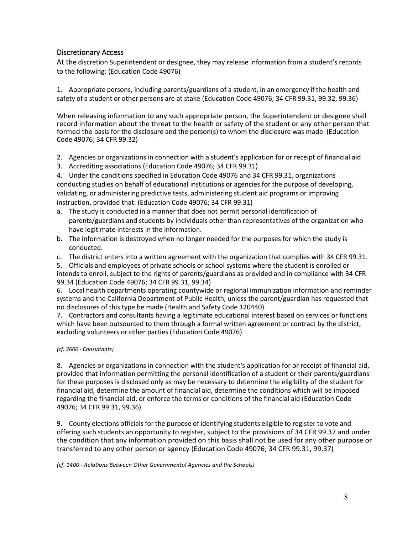# Discretionary Access

At the discretion Superintendent or designee, they may release information from a student's records to the following: (Education Code 49076)

1. Appropriate persons, including parents/guardians of a student, in an emergency if the health and safety of a student or other persons are at stake (Education Code 49076; 34 CFR 99.31, 99.32, 99.36)

When releasing information to any such appropriate person, the Superintendent or designee shall record information about the threat to the health or safety of the student or any other person that formed the basis for the disclosure and the person(s) to whom the disclosure was made. (Education Code 49076; 34 CFR 99.32)

- 2. Agencies or organizations in connection with a student's application for or receipt of financial aid
- 3. Accrediting associations (Education Code 49076; 34 CFR 99.31)

4. Under the conditions specified in Education Code 49076 and 34 CFR 99.31, organizations conducting studies on behalf of educational institutions or agencies for the purpose of developing, validating, or administering predictive tests, administering student aid programs or improving instruction, provided that: (Education Code 49076; 34 CFR 99.31)

- a. The study is conducted in a manner that does not permit personal identification of parents/guardians and students by individuals other than representatives of the organization who have legitimate interests in the information.
- b. The information is destroyed when no longer needed for the purposes for which the study is conducted.

c. The district enters into a written agreement with the organization that complies with 34 CFR 99.31.

5. Officials and employees of private schools or school systems where the student is enrolled or intends to enroll, subject to the rights of parents/guardians as provided and in compliance with 34 CFR 99.34 (Education Code 49076; 34 CFR 99.31, 99.34)

6. Local health departments operating countywide or regional immunization information and reminder systems and the California Department of Public Health, unless the parent/guardian has requested that no disclosures of this type be made (Health and Safety Code 120440)

7. Contractors and consultants having a legitimate educational interest based on services or functions which have been outsourced to them through a formal written agreement or contract by the district, excluding volunteers or other parties (Education Code 49076)

# *(cf. 3600 - Consultants)*

8. Agencies or organizations in connection with the student's application for or receipt of financial aid, provided that information permitting the personal identification of a student or their parents/guardians for these purposes is disclosed only as may be necessary to determine the eligibility of the student for financial aid, determine the amount of financial aid, determine the conditions which will be imposed regarding the financial aid, or enforce the terms or conditions of the financial aid (Education Code 49076; 34 CFR 99.31, 99.36)

9. County elections officials for the purpose of identifying students eligible to register to vote and offering such students an opportunity to register, subject to the provisions of 34 CFR 99.37 and under the condition that any information provided on this basis shall not be used for any other purpose or transferred to any other person or agency (Education Code 49076; 34 CFR 99.31, 99.37)

*(cf. 1400 - Relations Between Other Governmental Agencies and the Schools)*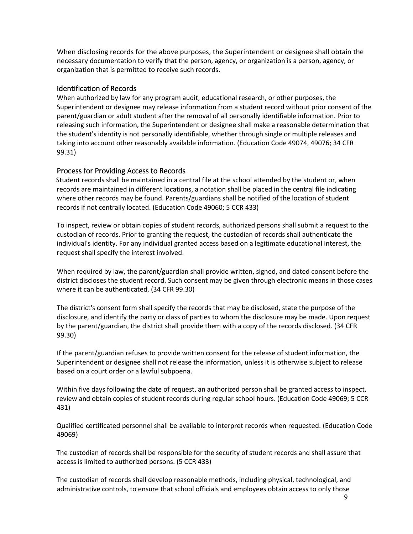When disclosing records for the above purposes, the Superintendent or designee shall obtain the necessary documentation to verify that the person, agency, or organization is a person, agency, or organization that is permitted to receive such records.

# Identification of Records

When authorized by law for any program audit, educational research, or other purposes, the Superintendent or designee may release information from a student record without prior consent of the parent/guardian or adult student after the removal of all personally identifiable information. Prior to releasing such information, the Superintendent or designee shall make a reasonable determination that the student's identity is not personally identifiable, whether through single or multiple releases and taking into account other reasonably available information. (Education Code 49074, 49076; 34 CFR 99.31)

# Process for Providing Access to Records

Student records shall be maintained in a central file at the school attended by the student or, when records are maintained in different locations, a notation shall be placed in the central file indicating where other records may be found. Parents/guardians shall be notified of the location of student records if not centrally located. (Education Code 49060; 5 CCR 433)

To inspect, review or obtain copies of student records, authorized persons shall submit a request to the custodian of records. Prior to granting the request, the custodian of records shall authenticate the individual's identity. For any individual granted access based on a legitimate educational interest, the request shall specify the interest involved.

When required by law, the parent/guardian shall provide written, signed, and dated consent before the district discloses the student record. Such consent may be given through electronic means in those cases where it can be authenticated. (34 CFR 99.30)

The district's consent form shall specify the records that may be disclosed, state the purpose of the disclosure, and identify the party or class of parties to whom the disclosure may be made. Upon request by the parent/guardian, the district shall provide them with a copy of the records disclosed. (34 CFR 99.30)

If the parent/guardian refuses to provide written consent for the release of student information, the Superintendent or designee shall not release the information, unless it is otherwise subject to release based on a court order or a lawful subpoena.

Within five days following the date of request, an authorized person shall be granted access to inspect, review and obtain copies of student records during regular school hours. (Education Code 49069; 5 CCR 431)

Qualified certificated personnel shall be available to interpret records when requested. (Education Code 49069)

The custodian of records shall be responsible for the security of student records and shall assure that access is limited to authorized persons. (5 CCR 433)

The custodian of records shall develop reasonable methods, including physical, technological, and administrative controls, to ensure that school officials and employees obtain access to only those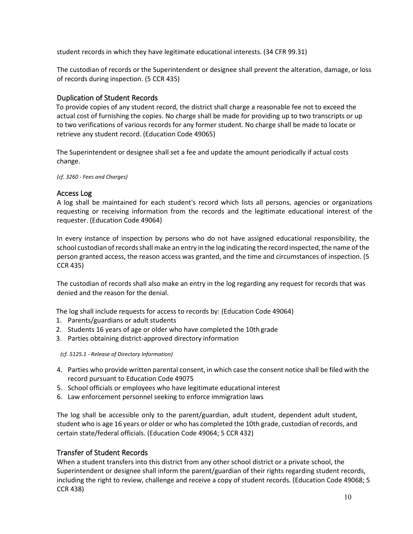student records in which they have legitimate educational interests. (34 CFR 99.31)

The custodian of records or the Superintendent or designee shall prevent the alteration, damage, or loss of records during inspection. (5 CCR 435)

# Duplication of Student Records

To provide copies of any student record, the district shall charge a reasonable fee not to exceed the actual cost of furnishing the copies. No charge shall be made for providing up to two transcripts or up to two verifications of various records for any former student. No charge shall be made to locate or retrieve any student record. (Education Code 49065)

The Superintendent or designee shall set a fee and update the amount periodically if actual costs change.

*(cf. 3260 - Fees and Charges)*

# Access Log

A log shall be maintained for each student's record which lists all persons, agencies or organizations requesting or receiving information from the records and the legitimate educational interest of the requester. (Education Code 49064)

In every instance of inspection by persons who do not have assigned educational responsibility, the school custodian of records shall make an entry in the log indicating the record inspected, the name of the person granted access, the reason access was granted, and the time and circumstances of inspection. (5 CCR 435)

The custodian of records shall also make an entry in the log regarding any request for records that was denied and the reason for the denial.

The log shall include requests for access to records by: (Education Code 49064)

- 1. Parents/guardians or adult students
- 2. Students 16 years of age or older who have completed the 10thgrade
- 3. Parties obtaining district-approved directory information

*(cf. 5125.1 - Release of Directory Information)*

- 4. Parties who provide written parental consent, in which case the consent notice shall be filed with the record pursuant to Education Code 49075
- 5. School officials or employees who have legitimate educational interest
- 6. Law enforcement personnel seeking to enforce immigration laws

The log shall be accessible only to the parent/guardian, adult student, dependent adult student, student who is age 16 years or older or who has completed the 10th grade, custodian of records, and certain state/federal officials. (Education Code 49064; 5 CCR 432)

# Transfer of Student Records

When a student transfers into this district from any other school district or a private school, the Superintendent or designee shall inform the parent/guardian of their rights regarding student records, including the right to review, challenge and receive a copy of student records. (Education Code 49068; 5 CCR 438)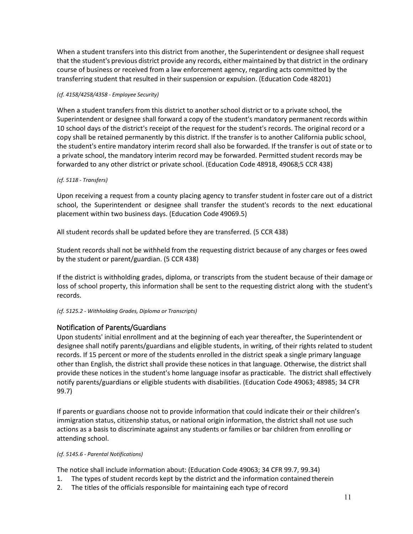When a student transfers into this district from another, the Superintendent or designee shall request that the student's previous district provide any records, either maintained by that district in the ordinary course of business or received from a law enforcement agency, regarding acts committed by the transferring student that resulted in their suspension or expulsion. (Education Code 48201)

### *(cf. 4158/4258/4358 - Employee Security)*

When a student transfers from this district to another school district or to a private school, the Superintendent or designee shall forward a copy of the student's mandatory permanent records within 10 school days of the district's receipt of the request for the student's records. The original record or a copy shall be retained permanently by this district. If the transfer is to another California public school, the student's entire mandatory interim record shall also be forwarded. If the transfer is out of state or to a private school, the mandatory interim record may be forwarded. Permitted student records may be forwarded to any other district or private school. (Education Code 48918, 49068;5 CCR 438)

# *(cf. 5118 - Transfers)*

Upon receiving a request from a county placing agency to transfer student in foster care out of a district school, the Superintendent or designee shall transfer the student's records to the next educational placement within two business days. (Education Code 49069.5)

All student records shall be updated before they are transferred. (5 CCR 438)

Student records shall not be withheld from the requesting district because of any charges or fees owed by the student or parent/guardian. (5 CCR 438)

If the district is withholding grades, diploma, or transcripts from the student because of their damage or loss of school property, this information shall be sent to the requesting district along with the student's records.

# *(cf. 5125.2 - Withholding Grades, Diploma or Transcripts)*

# Notification of Parents/Guardians

Upon students' initial enrollment and at the beginning of each year thereafter, the Superintendent or designee shall notify parents/guardians and eligible students, in writing, of their rights related to student records. If 15 percent or more of the students enrolled in the district speak a single primary language other than English, the district shall provide these notices in that language. Otherwise, the district shall provide these notices in the student's home language insofar as practicable. The district shall effectively notify parents/guardians or eligible students with disabilities. (Education Code 49063; 48985; 34 CFR 99.7)

If parents or guardians choose not to provide information that could indicate their or their children's immigration status, citizenship status, or national origin information, the district shall not use such actions as a basis to discriminate against any students or families or bar children from enrolling or attending school.

*(cf. 5145.6 - Parental Notifications)*

The notice shall include information about: (Education Code 49063; 34 CFR 99.7, 99.34)

- 1. The types of student records kept by the district and the information contained therein
- 2. The titles of the officials responsible for maintaining each type ofrecord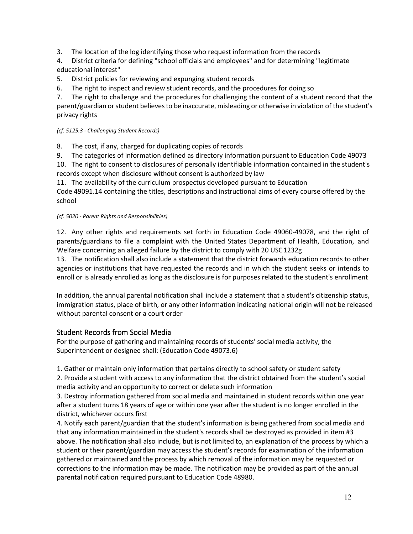3. The location of the log identifying those who request information from the records

4. District criteria for defining "school officials and employees" and for determining "legitimate educational interest"

5. District policies for reviewing and expunging student records

6. The right to inspect and review student records, and the procedures for doing so

7. The right to challenge and the procedures for challenging the content of a student record that the parent/guardian or student believes to be inaccurate, misleading or otherwise in violation of the student's privacy rights

# *(cf. 5125.3 - Challenging Student Records)*

8. The cost, if any, charged for duplicating copies of records

9. The categories of information defined as directory information pursuant to Education Code 49073

10. The right to consent to disclosures of personally identifiable information contained in the student's records except when disclosure without consent is authorized by law

11. The availability of the curriculum prospectus developed pursuant to Education

Code 49091.14 containing the titles, descriptions and instructional aims of every course offered by the school

# *(cf. 5020 - Parent Rights and Responsibilities)*

12. Any other rights and requirements set forth in Education Code 49060-49078, and the right of parents/guardians to file a complaint with the United States Department of Health, Education, and Welfare concerning an alleged failure by the district to comply with 20 USC1232g

13. The notification shall also include a statement that the district forwards education records to other agencies or institutions that have requested the records and in which the student seeks or intends to enroll or is already enrolled as long as the disclosure is for purposes related to the student's enrollment

In addition, the annual parental notification shall include a statement that a student's citizenship status, immigration status, place of birth, or any other information indicating national origin will not be released without parental consent or a court order

# Student Records from Social Media

For the purpose of gathering and maintaining records of students' social media activity, the Superintendent or designee shall: (Education Code 49073.6)

1. Gather or maintain only information that pertains directly to school safety or student safety

2. Provide a student with access to any information that the district obtained from the student's social media activity and an opportunity to correct or delete such information

3. Destroy information gathered from social media and maintained in student records within one year after a student turns 18 years of age or within one year after the student is no longer enrolled in the district, whichever occurs first

4. Notify each parent/guardian that the student's information is being gathered from social media and that any information maintained in the student's records shall be destroyed as provided in item #3 above. The notification shall also include, but is not limited to, an explanation of the process by which a student or their parent/guardian may access the student's records for examination of the information gathered or maintained and the process by which removal of the information may be requested or corrections to the information may be made. The notification may be provided as part of the annual parental notification required pursuant to Education Code 48980.